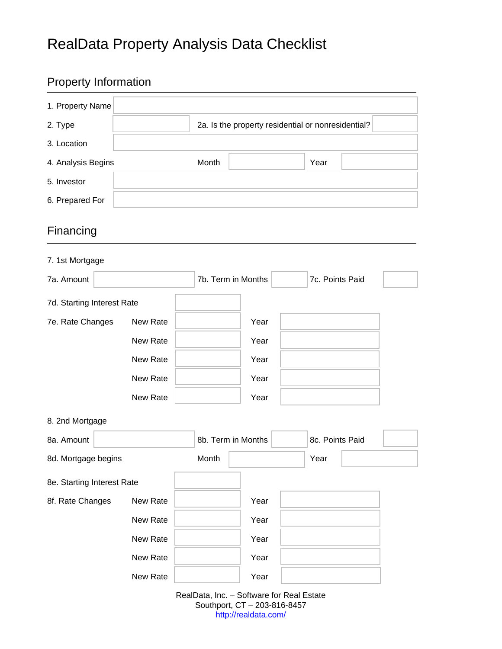# RealData Property Analysis Data Checklist

### Property Information

| 1. Property Name           |          |                    |                                           |                                                    |  |
|----------------------------|----------|--------------------|-------------------------------------------|----------------------------------------------------|--|
| 2. Type                    |          |                    |                                           | 2a. Is the property residential or nonresidential? |  |
| 3. Location                |          |                    |                                           |                                                    |  |
| 4. Analysis Begins         |          | Month              |                                           | Year                                               |  |
| 5. Investor                |          |                    |                                           |                                                    |  |
| 6. Prepared For            |          |                    |                                           |                                                    |  |
| Financing                  |          |                    |                                           |                                                    |  |
| 7. 1st Mortgage            |          |                    |                                           |                                                    |  |
| 7a. Amount                 |          | 7b. Term in Months |                                           | 7c. Points Paid                                    |  |
| 7d. Starting Interest Rate |          |                    |                                           |                                                    |  |
| 7e. Rate Changes           | New Rate |                    | Year                                      |                                                    |  |
|                            | New Rate |                    | Year                                      |                                                    |  |
|                            | New Rate |                    | Year                                      |                                                    |  |
|                            | New Rate |                    | Year                                      |                                                    |  |
|                            | New Rate |                    | Year                                      |                                                    |  |
| 8. 2nd Mortgage            |          |                    |                                           |                                                    |  |
| 8a. Amount                 |          | 8b. Term in Months |                                           | 8c. Points Paid                                    |  |
| 8d. Mortgage begins        |          | Month              |                                           | Year                                               |  |
| 8e. Starting Interest Rate |          |                    |                                           |                                                    |  |
| 8f. Rate Changes           | New Rate |                    | Year                                      |                                                    |  |
|                            | New Rate |                    | Year                                      |                                                    |  |
|                            | New Rate |                    | Year                                      |                                                    |  |
|                            | New Rate |                    | Year                                      |                                                    |  |
|                            | New Rate |                    | Year                                      |                                                    |  |
|                            |          |                    | RealData, Inc. - Software for Real Estate |                                                    |  |

RealData, Inc. – Software for Real Estate Southport, CT – 203-816-8457 http://realdata.com/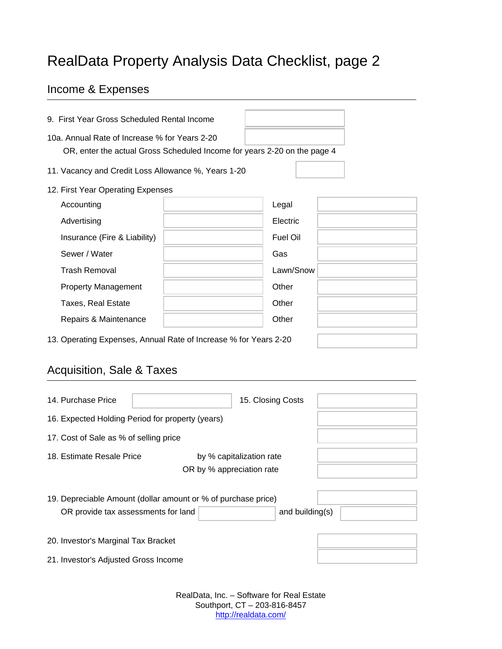## RealData Property Analysis Data Checklist, page 2

#### Income & Expenses

| 9. First Year Gross Scheduled Rental Income                                                                               |  |                 |  |  |
|---------------------------------------------------------------------------------------------------------------------------|--|-----------------|--|--|
| 10a. Annual Rate of Increase % for Years 2-20<br>OR, enter the actual Gross Scheduled Income for years 2-20 on the page 4 |  |                 |  |  |
| 11. Vacancy and Credit Loss Allowance %, Years 1-20                                                                       |  |                 |  |  |
| 12. First Year Operating Expenses                                                                                         |  |                 |  |  |
| Accounting                                                                                                                |  | Legal           |  |  |
| Advertising                                                                                                               |  | Electric        |  |  |
| Insurance (Fire & Liability)                                                                                              |  | <b>Fuel Oil</b> |  |  |
| Sewer / Water                                                                                                             |  | Gas             |  |  |
| <b>Trash Removal</b>                                                                                                      |  | Lawn/Snow       |  |  |
| <b>Property Management</b>                                                                                                |  | Other           |  |  |
| <b>Taxes, Real Estate</b>                                                                                                 |  | Other           |  |  |
| Repairs & Maintenance                                                                                                     |  | Other           |  |  |
| 13. Operating Expenses, Annual Rate of Increase % for Years 2-20                                                          |  |                 |  |  |

### Acquisition, Sale & Taxes

| 14. Purchase Price                                                                                   | 15. Closing Costs        |  |  |  |  |
|------------------------------------------------------------------------------------------------------|--------------------------|--|--|--|--|
| 16. Expected Holding Period for property (years)                                                     |                          |  |  |  |  |
| 17. Cost of Sale as % of selling price                                                               |                          |  |  |  |  |
| 18. Estimate Resale Price<br>OR by % appreciation rate                                               | by % capitalization rate |  |  |  |  |
| 19. Depreciable Amount (dollar amount or % of purchase price)<br>OR provide tax assessments for land | and building $(s)$       |  |  |  |  |
| 20. Investor's Marginal Tax Bracket<br>21. Investor's Adjusted Gross Income                          |                          |  |  |  |  |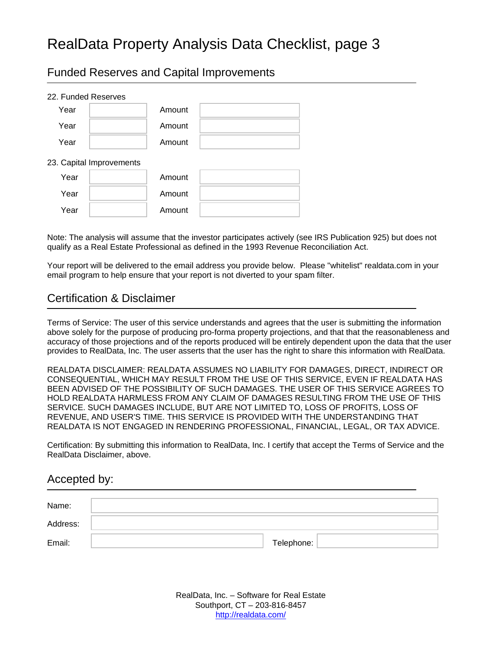### RealData Property Analysis Data Checklist, page 3

Funded Reserves and Capital Improvements

| 22. Funded Reserves |                          |        |  |
|---------------------|--------------------------|--------|--|
| Year                |                          | Amount |  |
| Year                |                          | Amount |  |
| Year                |                          | Amount |  |
|                     | 23. Capital Improvements |        |  |
| Year                |                          | Amount |  |
| Year                |                          | Amount |  |
| Year                |                          | Amount |  |

Note: The analysis will assume that the investor participates actively (see IRS Publication 925) but does not qualify as a Real Estate Professional as defined in the 1993 Revenue Reconciliation Act.

Your report will be delivered to the email address you provide below. Please "whitelist" realdata.com in your email program to help ensure that your report is not diverted to your spam filter.

#### Certification & Disclaimer

Terms of Service: The user of this service understands and agrees that the user is submitting the information above solely for the purpose of producing pro-forma property projections, and that that the reasonableness and accuracy of those projections and of the reports produced will be entirely dependent upon the data that the user provides to RealData, Inc. The user asserts that the user has the right to share this information with RealData.

REALDATA DISCLAIMER: REALDATA ASSUMES NO LIABILITY FOR DAMAGES, DIRECT, INDIRECT OR CONSEQUENTIAL, WHICH MAY RESULT FROM THE USE OF THIS SERVICE, EVEN IF REALDATA HAS BEEN ADVISED OF THE POSSIBILITY OF SUCH DAMAGES. THE USER OF THIS SERVICE AGREES TO HOLD REALDATA HARMLESS FROM ANY CLAIM OF DAMAGES RESULTING FROM THE USE OF THIS SERVICE. SUCH DAMAGES INCLUDE, BUT ARE NOT LIMITED TO, LOSS OF PROFITS, LOSS OF REVENUE, AND USER'S TIME. THIS SERVICE IS PROVIDED WITH THE UNDERSTANDING THAT REALDATA IS NOT ENGAGED IN RENDERING PROFESSIONAL, FINANCIAL, LEGAL, OR TAX ADVICE.

Certification: By submitting this information to RealData, Inc. I certify that accept the Terms of Service and the RealData Disclaimer, above.

#### Accepted by:

| Name:    |            |
|----------|------------|
| Address: |            |
| Email:   | Telephone: |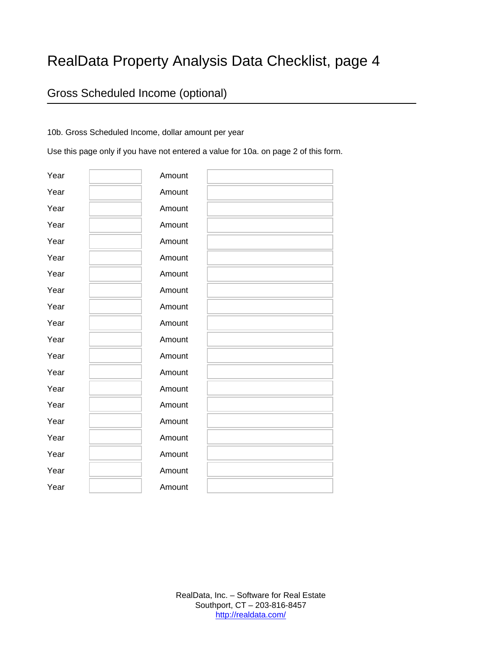### RealData Property Analysis Data Checklist, page 4

### Gross Scheduled Income (optional)

#### 10b. Gross Scheduled Income, dollar amount per year

Use this page only if you have not entered a value for 10a. on page 2 of this form.

| Year | Amount |
|------|--------|
| Year | Amount |
| Year | Amount |
| Year | Amount |
| Year | Amount |
| Year | Amount |
| Year | Amount |
| Year | Amount |
| Year | Amount |
| Year | Amount |
| Year | Amount |
| Year | Amount |
| Year | Amount |
| Year | Amount |
| Year | Amount |
| Year | Amount |
| Year | Amount |
| Year | Amount |
| Year | Amount |
| Year | Amount |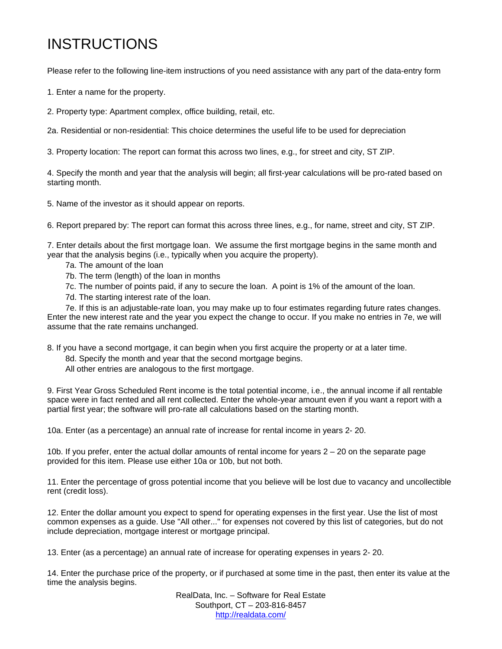## INSTRUCTIONS

Please refer to the following line-item instructions of you need assistance with any part of the data-entry form

1. Enter a name for the property.

2. Property type: Apartment complex, office building, retail, etc.

2a. Residential or non-residential: This choice determines the useful life to be used for depreciation

3. Property location: The report can format this across two lines, e.g., for street and city, ST ZIP.

4. Specify the month and year that the analysis will begin; all first-year calculations will be pro-rated based on starting month.

5. Name of the investor as it should appear on reports.

6. Report prepared by: The report can format this across three lines, e.g., for name, street and city, ST ZIP.

7. Enter details about the first mortgage loan. We assume the first mortgage begins in the same month and year that the analysis begins (i.e., typically when you acquire the property).

- 7a. The amount of the loan
- 7b. The term (length) of the loan in months
- 7c. The number of points paid, if any to secure the loan. A point is 1% of the amount of the loan.
- 7d. The starting interest rate of the loan.

 7e. If this is an adjustable-rate loan, you may make up to four estimates regarding future rates changes. Enter the new interest rate and the year you expect the change to occur. If you make no entries in 7e, we will assume that the rate remains unchanged.

8. If you have a second mortgage, it can begin when you first acquire the property or at a later time.

- 8d. Specify the month and year that the second mortgage begins.
- All other entries are analogous to the first mortgage.

9. First Year Gross Scheduled Rent income is the total potential income, i.e., the annual income if all rentable space were in fact rented and all rent collected. Enter the whole-year amount even if you want a report with a partial first year; the software will pro-rate all calculations based on the starting month.

10a. Enter (as a percentage) an annual rate of increase for rental income in years 2- 20.

10b. If you prefer, enter the actual dollar amounts of rental income for years 2 – 20 on the separate page provided for this item. Please use either 10a or 10b, but not both.

11. Enter the percentage of gross potential income that you believe will be lost due to vacancy and uncollectible rent (credit loss).

12. Enter the dollar amount you expect to spend for operating expenses in the first year. Use the list of most common expenses as a guide. Use "All other..." for expenses not covered by this list of categories, but do not include depreciation, mortgage interest or mortgage principal.

13. Enter (as a percentage) an annual rate of increase for operating expenses in years 2- 20.

14. Enter the purchase price of the property, or if purchased at some time in the past, then enter its value at the time the analysis begins.

> RealData, Inc. – Software for Real Estate Southport, CT – 203-816-8457 http://realdata.com/